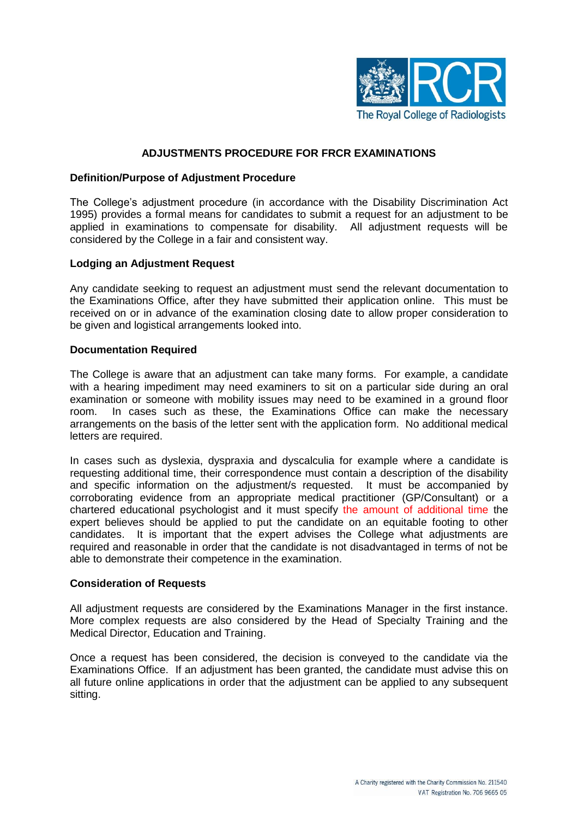

## **ADJUSTMENTS PROCEDURE FOR FRCR EXAMINATIONS**

## **Definition/Purpose of Adjustment Procedure**

The College's adjustment procedure (in accordance with the Disability Discrimination Act 1995) provides a formal means for candidates to submit a request for an adjustment to be applied in examinations to compensate for disability. All adjustment requests will be considered by the College in a fair and consistent way.

## **Lodging an Adjustment Request**

Any candidate seeking to request an adjustment must send the relevant documentation to the Examinations Office, after they have submitted their application online. This must be received on or in advance of the examination closing date to allow proper consideration to be given and logistical arrangements looked into.

## **Documentation Required**

The College is aware that an adjustment can take many forms. For example, a candidate with a hearing impediment may need examiners to sit on a particular side during an oral examination or someone with mobility issues may need to be examined in a ground floor room. In cases such as these, the Examinations Office can make the necessary arrangements on the basis of the letter sent with the application form. No additional medical letters are required.

In cases such as dyslexia, dyspraxia and dyscalculia for example where a candidate is requesting additional time, their correspondence must contain a description of the disability and specific information on the adjustment/s requested. It must be accompanied by corroborating evidence from an appropriate medical practitioner (GP/Consultant) or a chartered educational psychologist and it must specify the amount of additional time the expert believes should be applied to put the candidate on an equitable footing to other candidates. It is important that the expert advises the College what adjustments are required and reasonable in order that the candidate is not disadvantaged in terms of not be able to demonstrate their competence in the examination.

## **Consideration of Requests**

All adjustment requests are considered by the Examinations Manager in the first instance. More complex requests are also considered by the Head of Specialty Training and the Medical Director, Education and Training.

Once a request has been considered, the decision is conveyed to the candidate via the Examinations Office. If an adjustment has been granted, the candidate must advise this on all future online applications in order that the adjustment can be applied to any subsequent sitting.